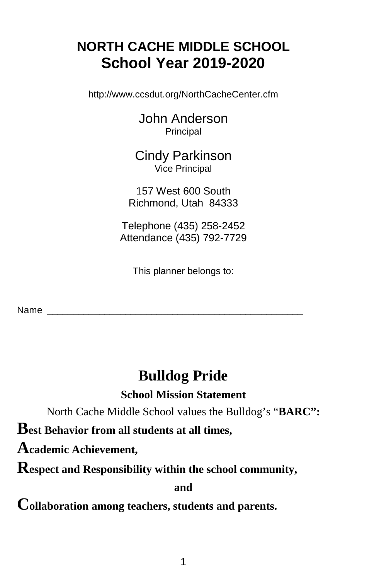# **NORTH CACHE MIDDLE SCHOOL School Year 2019-2020**

http://www.ccsdut.org/NorthCacheCenter.cfm

John Anderson Principal

Cindy Parkinson Vice Principal

157 West 600 South Richmond, Utah 84333

Telephone (435) 258-2452 Attendance (435) 792-7729

This planner belongs to:

Name

# **Bulldog Pride**

**School Mission Statement**

North Cache Middle School values the Bulldog's "**BARC":**

**Best Behavior from all students at all times,**

**Academic Achievement,** 

**Respect and Responsibility within the school community,**

**and**

**Collaboration among teachers, students and parents.**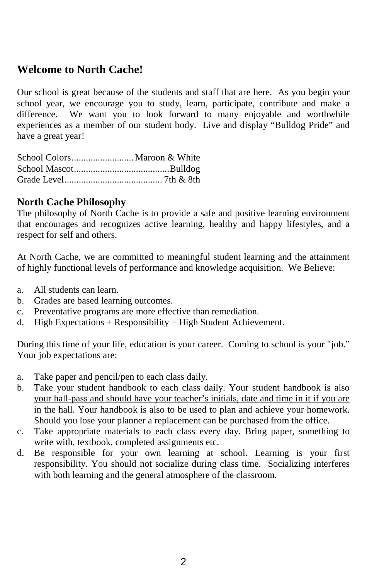# **Welcome to North Cache!**

Our school is great because of the students and staff that are here. As you begin your school year, we encourage you to study, learn, participate, contribute and make a difference. We want you to look forward to many enjoyable and worthwhile experiences as a member of our student body. Live and display "Bulldog Pride" and have a great year!

#### **North Cache Philosophy**

The philosophy of North Cache is to provide a safe and positive learning environment that encourages and recognizes active learning, healthy and happy lifestyles, and a respect for self and others.

At North Cache, we are committed to meaningful student learning and the attainment of highly functional levels of performance and knowledge acquisition. We Believe:

- a. All students can learn.
- b. Grades are based learning outcomes.
- c. Preventative programs are more effective than remediation.
- d. High Expectations + Responsibility = High Student Achievement.

During this time of your life, education is your career. Coming to school is your "job." Your job expectations are:

- a. Take paper and pencil/pen to each class daily.
- b. Take your student handbook to each class daily. Your student handbook is also your hall-pass and should have your teacher's initials, date and time in it if you are in the hall. Your handbook is also to be used to plan and achieve your homework. Should you lose your planner a replacement can be purchased from the office.
- c. Take appropriate materials to each class every day. Bring paper, something to write with, textbook, completed assignments etc.
- d. Be responsible for your own learning at school. Learning is your first responsibility. You should not socialize during class time. Socializing interferes with both learning and the general atmosphere of the classroom.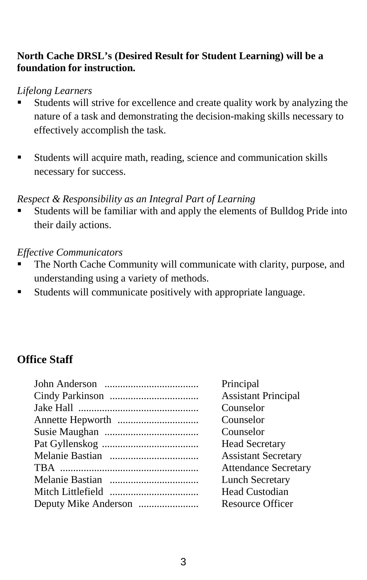#### **North Cache DRSL's (Desired Result for Student Learning) will be a foundation for instruction.**

#### *Lifelong Learners*

- Students will strive for excellence and create quality work by analyzing the nature of a task and demonstrating the decision-making skills necessary to effectively accomplish the task.
- Students will acquire math, reading, science and communication skills necessary for success.

#### *Respect & Responsibility as an Integral Part of Learning*

 Students will be familiar with and apply the elements of Bulldog Pride into their daily actions.

#### *Effective Communicators*

- The North Cache Community will communicate with clarity, purpose, and understanding using a variety of methods.
- Students will communicate positively with appropriate language.

# **Office Staff**

| <b>Assistant Principal</b><br>Counselor<br>Counselor<br>Counselor<br><b>Head Secretary</b><br><b>Assistant Secretary</b><br><b>Attendance Secretary</b><br><b>Lunch Secretary</b><br>Head Custodian<br><b>Resource Officer</b> | Principal |
|--------------------------------------------------------------------------------------------------------------------------------------------------------------------------------------------------------------------------------|-----------|
|                                                                                                                                                                                                                                |           |
|                                                                                                                                                                                                                                |           |
|                                                                                                                                                                                                                                |           |
|                                                                                                                                                                                                                                |           |
|                                                                                                                                                                                                                                |           |
|                                                                                                                                                                                                                                |           |
|                                                                                                                                                                                                                                |           |
|                                                                                                                                                                                                                                |           |
|                                                                                                                                                                                                                                |           |
|                                                                                                                                                                                                                                |           |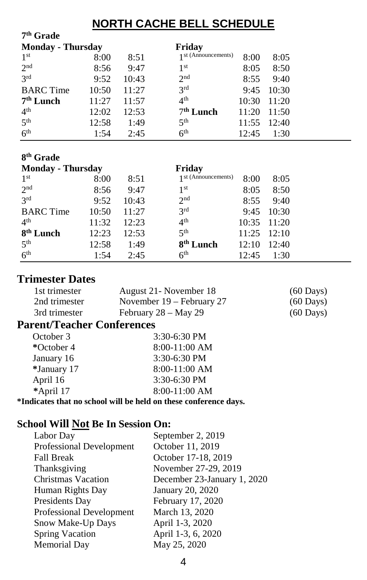# **NORTH CACHE BELL SCHEDULE**

| 7 <sup>th</sup> Grade    |       |       |                       |       |       |
|--------------------------|-------|-------|-----------------------|-------|-------|
| <b>Monday - Thursday</b> |       |       | Friday                |       |       |
| 1 <sup>st</sup>          | 8:00  | 8:51  | 1 st (Announcements)  | 8:00  | 8:05  |
| 2 <sub>nd</sub>          | 8:56  | 9:47  | 1 <sup>st</sup>       | 8:05  | 8:50  |
| 3 <sup>rd</sup>          | 9:52  | 10:43 | 2 <sup>nd</sup>       | 8:55  | 9:40  |
| <b>BARC</b> Time         | 10:50 | 11:27 | 3 <sup>rd</sup>       | 9:45  | 10:30 |
| 7 <sup>th</sup> Lunch    | 11:27 | 11:57 | 4 <sup>th</sup>       | 10:30 | 11:20 |
| 4 <sup>th</sup>          | 12:02 | 12:53 | 7 <sup>th</sup> Lunch | 11:20 | 11:50 |
| 5 <sup>th</sup>          | 12:58 | 1:49  | 5 <sup>th</sup>       | 11:55 | 12:40 |
| 6 <sup>th</sup>          | 1:54  | 2:45  | 6 <sup>th</sup>       | 12:45 | 1:30  |
|                          |       |       |                       |       |       |
| 8 <sup>th</sup> Grade    |       |       |                       |       |       |
| <b>Monday - Thursday</b> |       |       | Friday                |       |       |
| 1 <sup>st</sup>          | 8:00  | 8:51  | 1 st (Announcements)  | 8:00  | 8:05  |
| 2 <sub>nd</sub>          | 8:56  | 9:47  | 1 <sup>st</sup>       | 8:05  | 8:50  |
| 3 <sup>rd</sup>          | 9:52  | 10:43 | 2 <sup>nd</sup>       | 8:55  | 9:40  |
| <b>BARC</b> Time         | 10:50 | 11:27 | 3 <sup>rd</sup>       | 9:45  | 10:30 |
| 4 <sup>th</sup>          | 11:32 | 12:23 | 4 <sup>th</sup>       | 10:35 | 11:20 |
|                          |       |       |                       |       |       |
| 8 <sup>th</sup> Lunch    | 12:23 | 12:53 | 5 <sup>th</sup>       | 11:25 | 12:10 |
| 5 <sup>th</sup>          | 12:58 | 1:49  | 8 <sup>th</sup> Lunch | 12:10 | 12:40 |

# **Trimester Dates**

| 1st trimester | August 21 - November 18     | $(60 \text{ Days})$ |
|---------------|-----------------------------|---------------------|
| 2nd trimester | November $19$ – February 27 | $(60 \text{ Days})$ |
| 3rd trimester | February 28 – May 29        | $(60 \text{ Days})$ |

# **Parent/Teacher Conferences**

| October 3   | $3:30-6:30$ PM  |
|-------------|-----------------|
| *October 4  | $8:00-11:00$ AM |
| January 16  | $3:30-6:30$ PM  |
| *January 17 | $8:00-11:00$ AM |
| April 16    | $3:30-6:30$ PM  |
| *April 17   | 8:00-11:00 AM   |

**\*Indicates that no school will be held on these conference days.**

## **School Will Not Be In Session On:**

| Labor Day                | September 2, 2019           |
|--------------------------|-----------------------------|
| Professional Development | October 11, 2019            |
| <b>Fall Break</b>        | October 17-18, 2019         |
| Thanksgiving             | November 27-29, 2019        |
| Christmas Vacation       | December 23-January 1, 2020 |
| Human Rights Day         | January 20, 2020            |
| Presidents Day           | February 17, 2020           |
| Professional Development | March 13, 2020              |
| Snow Make-Up Days        | April 1-3, 2020             |
| <b>Spring Vacation</b>   | April 1-3, 6, 2020          |
| Memorial Day             | May 25, 2020                |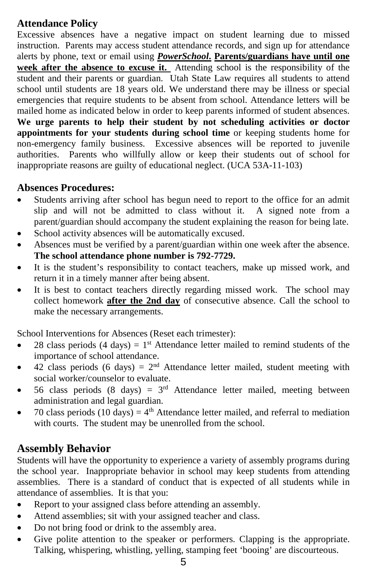#### **Attendance Policy**

Excessive absences have a negative impact on student learning due to missed instruction. Parents may access student attendance records, and sign up for attendance alerts by phone, text or email using *PowerSchool***. Parents/guardians have until one week after the absence to excuse it.** Attending school is the responsibility of the student and their parents or guardian. Utah State Law requires all students to attend school until students are 18 years old. We understand there may be illness or special emergencies that require students to be absent from school. Attendance letters will be mailed home as indicated below in order to keep parents informed of student absences. **We urge parents to help their student by not scheduling activities or doctor appointments for your students during school time** or keeping students home for non-emergency family business. Excessive absences will be reported to juvenile authorities. Parents who willfully allow or keep their students out of school for inappropriate reasons are guilty of educational neglect. (UCA 53A-11-103)

#### **Absences Procedures:**

- Students arriving after school has begun need to report to the office for an admit slip and will not be admitted to class without it. A signed note from a parent/guardian should accompany the student explaining the reason for being late.
- School activity absences will be automatically excused.
- Absences must be verified by a parent/guardian within one week after the absence. **The school attendance phone number is 792-7729.**
- It is the student's responsibility to contact teachers, make up missed work, and return it in a timely manner after being absent.
- It is best to contact teachers directly regarding missed work. The school may collect homework **after the 2nd day** of consecutive absence. Call the school to make the necessary arrangements.

School Interventions for Absences (Reset each trimester):

- 28 class periods (4 days) =  $1<sup>st</sup>$  Attendance letter mailed to remind students of the importance of school attendance.
- 42 class periods (6 days) =  $2<sup>nd</sup>$  Attendance letter mailed, student meeting with social worker/counselor to evaluate.
- 56 class periods (8 days) =  $3<sup>rd</sup>$  Attendance letter mailed, meeting between administration and legal guardian.
- 70 class periods (10 days) =  $4<sup>th</sup>$  Attendance letter mailed, and referral to mediation with courts. The student may be unenrolled from the school.

### **Assembly Behavior**

Students will have the opportunity to experience a variety of assembly programs during the school year. Inappropriate behavior in school may keep students from attending assemblies. There is a standard of conduct that is expected of all students while in attendance of assemblies. It is that you:

- Report to your assigned class before attending an assembly.
- Attend assemblies; sit with your assigned teacher and class.
- Do not bring food or drink to the assembly area.
- Give polite attention to the speaker or performers. Clapping is the appropriate. Talking, whispering, whistling, yelling, stamping feet 'booing' are discourteous.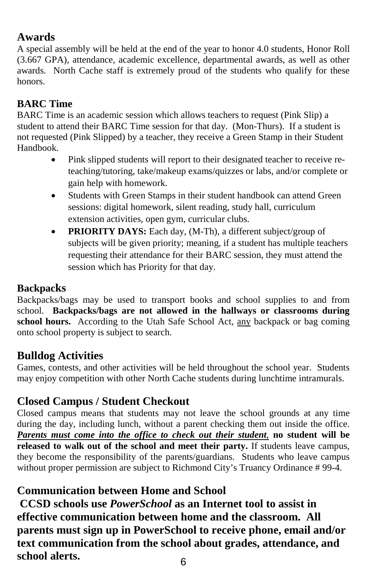# **Awards**

A special assembly will be held at the end of the year to honor 4.0 students, Honor Roll (3.667 GPA), attendance, academic excellence, departmental awards, as well as other awards. North Cache staff is extremely proud of the students who qualify for these honors.

# **BARC Time**

BARC Time is an academic session which allows teachers to request (Pink Slip) a student to attend their BARC Time session for that day. (Mon-Thurs). If a student is not requested (Pink Slipped) by a teacher, they receive a Green Stamp in their Student Handbook.

- Pink slipped students will report to their designated teacher to receive reteaching/tutoring, take/makeup exams/quizzes or labs, and/or complete or gain help with homework.
- Students with Green Stamps in their student handbook can attend Green sessions: digital homework, silent reading, study hall, curriculum extension activities, open gym, curricular clubs.
- **PRIORITY DAYS:** Each day, (M-Th), a different subject/group of subjects will be given priority; meaning, if a student has multiple teachers requesting their attendance for their BARC session, they must attend the session which has Priority for that day.

# **Backpacks**

Backpacks/bags may be used to transport books and school supplies to and from school. **Backpacks/bags are not allowed in the hallways or classrooms during**  school hours. According to the Utah Safe School Act, any backpack or bag coming onto school property is subject to search.

# **Bulldog Activities**

Games, contests, and other activities will be held throughout the school year. Students may enjoy competition with other North Cache students during lunchtime intramurals.

# **Closed Campus / Student Checkout**

Closed campus means that students may not leave the school grounds at any time during the day, including lunch, without a parent checking them out inside the office. *Parents must come into the office to check out their student*, **no student will be released to walk out of the school and meet their party.** If students leave campus, they become the responsibility of the parents/guardians. Students who leave campus without proper permission are subject to Richmond City's Truancy Ordinance #99-4.

# **Communication between Home and School**

6 **CCSD schools use** *PowerSchool* **as an Internet tool to assist in effective communication between home and the classroom. All parents must sign up in PowerSchool to receive phone, email and/or text communication from the school about grades, attendance, and school alerts.**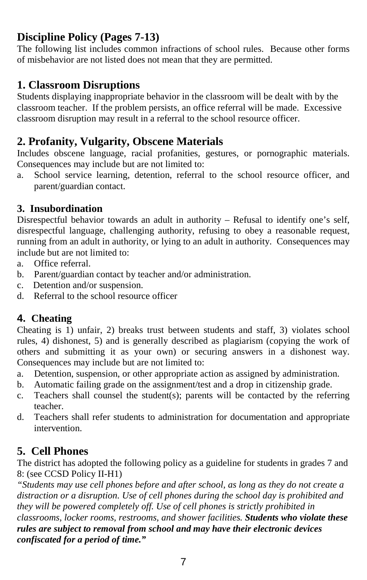# **Discipline Policy (Pages 7-13)**

The following list includes common infractions of school rules. Because other forms of misbehavior are not listed does not mean that they are permitted.

## **1. Classroom Disruptions**

Students displaying inappropriate behavior in the classroom will be dealt with by the classroom teacher. If the problem persists, an office referral will be made. Excessive classroom disruption may result in a referral to the school resource officer.

# **2. Profanity, Vulgarity, Obscene Materials**

Includes obscene language, racial profanities, gestures, or pornographic materials. Consequences may include but are not limited to:

a. School service learning, detention, referral to the school resource officer, and parent/guardian contact.

#### **3. Insubordination**

Disrespectful behavior towards an adult in authority – Refusal to identify one's self, disrespectful language, challenging authority, refusing to obey a reasonable request, running from an adult in authority, or lying to an adult in authority. Consequences may include but are not limited to:

- a. Office referral.
- b. Parent/guardian contact by teacher and/or administration.
- c. Detention and/or suspension.
- d. Referral to the school resource officer

#### **4. Cheating**

Cheating is 1) unfair, 2) breaks trust between students and staff, 3) violates school rules, 4) dishonest, 5) and is generally described as plagiarism (copying the work of others and submitting it as your own) or securing answers in a dishonest way. Consequences may include but are not limited to:

- a. Detention, suspension, or other appropriate action as assigned by administration.
- b. Automatic failing grade on the assignment/test and a drop in citizenship grade.
- c. Teachers shall counsel the student(s); parents will be contacted by the referring teacher.
- d. Teachers shall refer students to administration for documentation and appropriate intervention.

### **5. Cell Phones**

The district has adopted the following policy as a guideline for students in grades 7 and 8: (see CCSD Policy II-H1)

*"Students may use cell phones before and after school, as long as they do not create a distraction or a disruption. Use of cell phones during the school day is prohibited and they will be powered completely off. Use of cell phones is strictly prohibited in classrooms, locker rooms, restrooms, and shower facilities. Students who violate these rules are subject to removal from school and may have their electronic devices confiscated for a period of time."*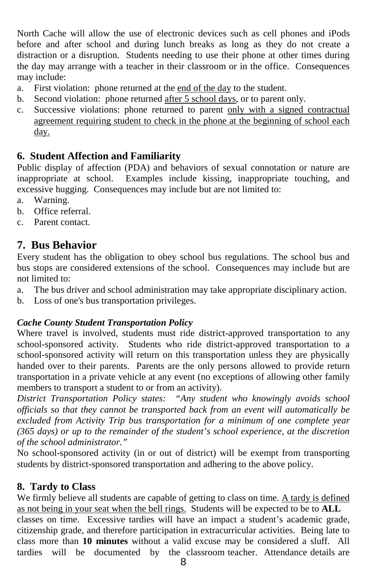North Cache will allow the use of electronic devices such as cell phones and iPods before and after school and during lunch breaks as long as they do not create a distraction or a disruption. Students needing to use their phone at other times during the day may arrange with a teacher in their classroom or in the office. Consequences may include:

- a. First violation: phone returned at the end of the day to the student.
- b. Second violation: phone returned after 5 school days, or to parent only.
- c. Successive violations: phone returned to parent only with a signed contractual agreement requiring student to check in the phone at the beginning of school each day.

#### **6. Student Affection and Familiarity**

Public display of affection (PDA) and behaviors of sexual connotation or nature are inappropriate at school. Examples include kissing, inappropriate touching, and excessive hugging. Consequences may include but are not limited to:

- a. Warning.
- b. Office referral.
- c. Parent contact.

### **7. Bus Behavior**

Every student has the obligation to obey school bus regulations. The school bus and bus stops are considered extensions of the school. Consequences may include but are not limited to:

- a. The bus driver and school administration may take appropriate disciplinary action.
- b. Loss of one's bus transportation privileges.

#### *Cache County Student Transportation Policy*

Where travel is involved, students must ride district-approved transportation to any school-sponsored activity. Students who ride district-approved transportation to a school-sponsored activity will return on this transportation unless they are physically handed over to their parents. Parents are the only persons allowed to provide return transportation in a private vehicle at any event (no exceptions of allowing other family members to transport a student to or from an activity).

*District Transportation Policy states: "Any student who knowingly avoids school officials so that they cannot be transported back from an event will automatically be excluded from Activity Trip bus transportation for a minimum of one complete year (365 days) or up to the remainder of the student's school experience, at the discretion of the school administrator."*

No school-sponsored activity (in or out of district) will be exempt from transporting students by district-sponsored transportation and adhering to the above policy.

#### **8. Tardy to Class**

We firmly believe all students are capable of getting to class on time. A tardy is defined as not being in your seat when the bell rings. Students will be expected to be to **ALL** classes on time. Excessive tardies will have an impact a student's academic grade, citizenship grade, and therefore participation in extracurricular activities. Being late to class more than **10 minutes** without a valid excuse may be considered a sluff. All tardies will be documented by the classroom teacher. Attendance details are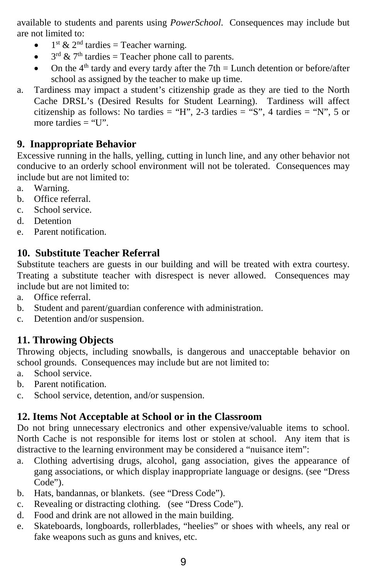available to students and parents using *PowerSchool*. Consequences may include but are not limited to:

- $1<sup>st</sup>$  &  $2<sup>nd</sup>$  tardies = Teacher warning.
- $3<sup>rd</sup> \& 7<sup>th</sup>$  tardies = Teacher phone call to parents.
- On the  $4<sup>th</sup>$  tardy and every tardy after the 7th = Lunch detention or before/after school as assigned by the teacher to make up time.
- a. Tardiness may impact a student's citizenship grade as they are tied to the North Cache DRSL's (Desired Results for Student Learning). Tardiness will affect citizenship as follows: No tardies = "H", 2-3 tardies = "S", 4 tardies = "N", 5 or more tardies  $=$  "U".

#### **9. Inappropriate Behavior**

Excessive running in the halls, yelling, cutting in lunch line, and any other behavior not conducive to an orderly school environment will not be tolerated. Consequences may include but are not limited to:

- a. Warning.
- b. Office referral.
- c. School service.
- d. Detention
- e. Parent notification.

#### **10. Substitute Teacher Referral**

Substitute teachers are guests in our building and will be treated with extra courtesy. Treating a substitute teacher with disrespect is never allowed. Consequences may include but are not limited to:

- a. Office referral.
- b. Student and parent/guardian conference with administration.
- c. Detention and/or suspension.

#### **11. Throwing Objects**

Throwing objects, including snowballs, is dangerous and unacceptable behavior on school grounds. Consequences may include but are not limited to:

- a. School service.
- b. Parent notification.
- c. School service, detention, and/or suspension.

#### **12. Items Not Acceptable at School or in the Classroom**

Do not bring unnecessary electronics and other expensive/valuable items to school. North Cache is not responsible for items lost or stolen at school. Any item that is distractive to the learning environment may be considered a "nuisance item":

- a. Clothing advertising drugs, alcohol, gang association, gives the appearance of gang associations, or which display inappropriate language or designs. (see "Dress Code").
- b. Hats, bandannas, or blankets. (see "Dress Code").
- c. Revealing or distracting clothing. (see "Dress Code").
- d. Food and drink are not allowed in the main building.
- e. Skateboards, longboards, rollerblades, "heelies" or shoes with wheels, any real or fake weapons such as guns and knives, etc.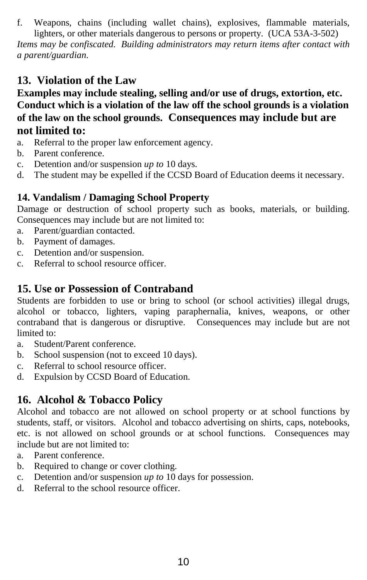f. Weapons, chains (including wallet chains), explosives, flammable materials, lighters, or other materials dangerous to persons or property. (UCA 53A-3-502) *Items may be confiscated. Building administrators may return items after contact with a parent/guardian.*

# **13. Violation of the Law**

**Examples may include stealing, selling and/or use of drugs, extortion, etc. Conduct which is a violation of the law off the school grounds is a violation of the law on the school grounds. Consequences may include but are not limited to:**

- a. Referral to the proper law enforcement agency.
- b. Parent conference.
- c. Detention and/or suspension *up to* 10 days.
- d. The student may be expelled if the CCSD Board of Education deems it necessary.

### **14. Vandalism / Damaging School Property**

Damage or destruction of school property such as books, materials, or building. Consequences may include but are not limited to:

- a. Parent/guardian contacted.
- b. Payment of damages.
- c. Detention and/or suspension.
- c. Referral to school resource officer.

### **15. Use or Possession of Contraband**

Students are forbidden to use or bring to school (or school activities) illegal drugs, alcohol or tobacco, lighters, vaping paraphernalia, knives, weapons, or other contraband that is dangerous or disruptive. Consequences may include but are not limited to:

- a. Student/Parent conference.
- b. School suspension (not to exceed 10 days).
- c. Referral to school resource officer.
- d. Expulsion by CCSD Board of Education.

# **16. Alcohol & Tobacco Policy**

Alcohol and tobacco are not allowed on school property or at school functions by students, staff, or visitors. Alcohol and tobacco advertising on shirts, caps, notebooks, etc. is not allowed on school grounds or at school functions. Consequences may include but are not limited to:

- a. Parent conference.
- b. Required to change or cover clothing.
- c. Detention and/or suspension *up to* 10 days for possession.
- d. Referral to the school resource officer.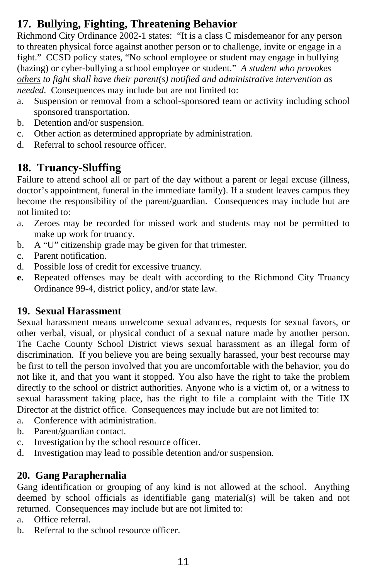# **17. Bullying, Fighting, Threatening Behavior**

Richmond City Ordinance 2002-1 states: "It is a class C misdemeanor for any person to threaten physical force against another person or to challenge, invite or engage in a fight." CCSD policy states, "No school employee or student may engage in bullying (hazing) or cyber-bullying a school employee or student." *A student who provokes others to fight shall have their parent(s) notified and administrative intervention as needed.* Consequences may include but are not limited to:

- a. Suspension or removal from a school-sponsored team or activity including school sponsored transportation.
- b. Detention and/or suspension.
- c. Other action as determined appropriate by administration.
- d. Referral to school resource officer.

# **18. Truancy-Sluffing**

Failure to attend school all or part of the day without a parent or legal excuse (illness, doctor's appointment, funeral in the immediate family). If a student leaves campus they become the responsibility of the parent/guardian. Consequences may include but are not limited to:

- a. Zeroes may be recorded for missed work and students may not be permitted to make up work for truancy.
- b. A "U" citizenship grade may be given for that trimester.
- c. Parent notification.
- d. Possible loss of credit for excessive truancy.
- **e.** Repeated offenses may be dealt with according to the Richmond City Truancy Ordinance 99-4, district policy, and/or state law.

### **19. Sexual Harassment**

Sexual harassment means unwelcome sexual advances, requests for sexual favors, or other verbal, visual, or physical conduct of a sexual nature made by another person. The Cache County School District views sexual harassment as an illegal form of discrimination. If you believe you are being sexually harassed, your best recourse may be first to tell the person involved that you are uncomfortable with the behavior, you do not like it, and that you want it stopped. You also have the right to take the problem directly to the school or district authorities. Anyone who is a victim of, or a witness to sexual harassment taking place, has the right to file a complaint with the Title IX Director at the district office. Consequences may include but are not limited to:

- a. Conference with administration.
- b. Parent/guardian contact.
- c. Investigation by the school resource officer.
- d. Investigation may lead to possible detention and/or suspension.

### **20. Gang Paraphernalia**

Gang identification or grouping of any kind is not allowed at the school. Anything deemed by school officials as identifiable gang material(s) will be taken and not returned. Consequences may include but are not limited to:

- a. Office referral.
- b. Referral to the school resource officer.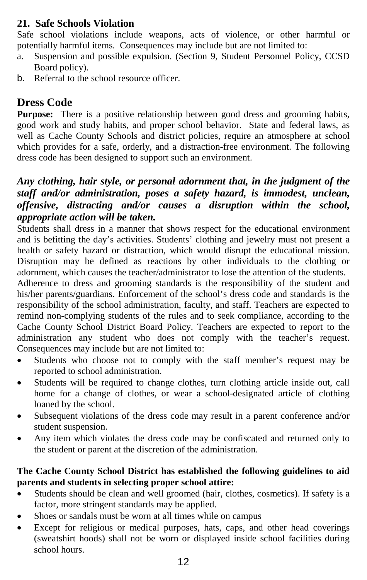#### **21. Safe Schools Violation**

Safe school violations include weapons, acts of violence, or other harmful or potentially harmful items. Consequences may include but are not limited to:

- a. Suspension and possible expulsion. (Section 9, Student Personnel Policy, CCSD Board policy).
- b. Referral to the school resource officer.

## **Dress Code**

**Purpose:** There is a positive relationship between good dress and grooming habits, good work and study habits, and proper school behavior. State and federal laws, as well as Cache County Schools and district policies, require an atmosphere at school which provides for a safe, orderly, and a distraction-free environment. The following dress code has been designed to support such an environment.

#### *Any clothing, hair style, or personal adornment that, in the judgment of the staff and/or administration, poses a safety hazard, is immodest, unclean, offensive, distracting and/or causes a disruption within the school, appropriate action will be taken.*

Students shall dress in a manner that shows respect for the educational environment and is befitting the day's activities. Students' clothing and jewelry must not present a health or safety hazard or distraction, which would disrupt the educational mission. Disruption may be defined as reactions by other individuals to the clothing or adornment, which causes the teacher/administrator to lose the attention of the students.

Adherence to dress and grooming standards is the responsibility of the student and his/her parents/guardians. Enforcement of the school's dress code and standards is the responsibility of the school administration, faculty, and staff. Teachers are expected to remind non-complying students of the rules and to seek compliance, according to the Cache County School District Board Policy. Teachers are expected to report to the administration any student who does not comply with the teacher's request. Consequences may include but are not limited to:

- Students who choose not to comply with the staff member's request may be reported to school administration.
- Students will be required to change clothes, turn clothing article inside out, call home for a change of clothes, or wear a school-designated article of clothing loaned by the school.
- Subsequent violations of the dress code may result in a parent conference and/or student suspension.
- Any item which violates the dress code may be confiscated and returned only to the student or parent at the discretion of the administration.

#### **The Cache County School District has established the following guidelines to aid parents and students in selecting proper school attire:**

- Students should be clean and well groomed (hair, clothes, cosmetics). If safety is a factor, more stringent standards may be applied.
- Shoes or sandals must be worn at all times while on campus
- Except for religious or medical purposes, hats, caps, and other head coverings (sweatshirt hoods) shall not be worn or displayed inside school facilities during school hours.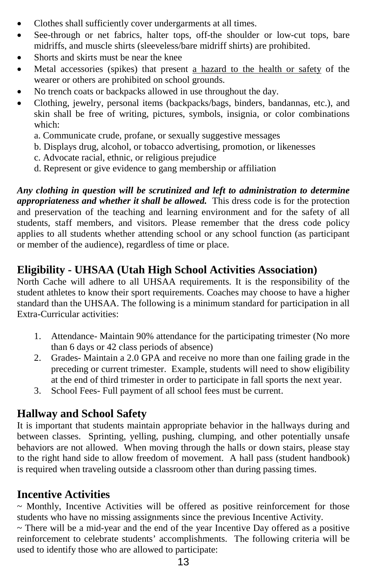- Clothes shall sufficiently cover undergarments at all times.
- See-through or net fabrics, halter tops, off-the shoulder or low-cut tops, bare midriffs, and muscle shirts (sleeveless/bare midriff shirts) are prohibited.
- Shorts and skirts must be near the knee
- Metal accessories (spikes) that present a hazard to the health or safety of the wearer or others are prohibited on school grounds.
- No trench coats or backpacks allowed in use throughout the day.
- Clothing, jewelry, personal items (backpacks/bags, binders, bandannas, etc.), and skin shall be free of writing, pictures, symbols, insignia, or color combinations which:
	- a. Communicate crude, profane, or sexually suggestive messages
	- b. Displays drug, alcohol, or tobacco advertising, promotion, or likenesses
	- c. Advocate racial, ethnic, or religious prejudice
	- d. Represent or give evidence to gang membership or affiliation

*Any clothing in question will be scrutinized and left to administration to determine appropriateness and whether it shall be allowed.*This dress code is for the protection and preservation of the teaching and learning environment and for the safety of all students, staff members, and visitors. Please remember that the dress code policy applies to all students whether attending school or any school function (as participant or member of the audience), regardless of time or place.

# **Eligibility - UHSAA (Utah High School Activities Association)**

North Cache will adhere to all UHSAA requirements. It is the responsibility of the student athletes to know their sport requirements. Coaches may choose to have a higher standard than the UHSAA. The following is a minimum standard for participation in all Extra-Curricular activities:

- 1. Attendance- Maintain 90% attendance for the participating trimester (No more than 6 days or 42 class periods of absence)
- 2. Grades- Maintain a 2.0 GPA and receive no more than one failing grade in the preceding or current trimester. Example, students will need to show eligibility at the end of third trimester in order to participate in fall sports the next year.
- 3. School Fees- Full payment of all school fees must be current.

### **Hallway and School Safety**

It is important that students maintain appropriate behavior in the hallways during and between classes. Sprinting, yelling, pushing, clumping, and other potentially unsafe behaviors are not allowed. When moving through the halls or down stairs, please stay to the right hand side to allow freedom of movement. A hall pass (student handbook) is required when traveling outside a classroom other than during passing times.

### **Incentive Activities**

~ Monthly, Incentive Activities will be offered as positive reinforcement for those students who have no missing assignments since the previous Incentive Activity.

 $\sim$  There will be a mid-year and the end of the year Incentive Day offered as a positive reinforcement to celebrate students' accomplishments. The following criteria will be used to identify those who are allowed to participate: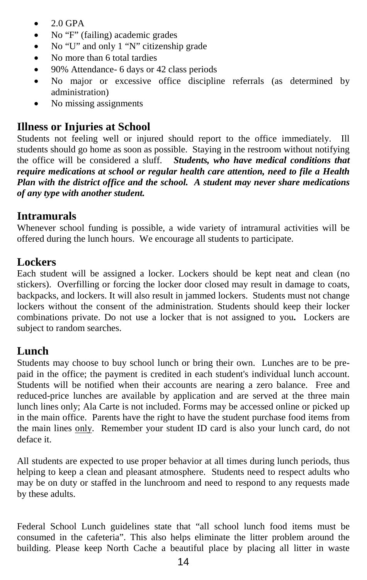- $\bullet$  2.0 GPA
- No "F" (failing) academic grades
- No "U" and only 1 "N" citizenship grade
- No more than 6 total tardies
- 90% Attendance- 6 days or 42 class periods
- No major or excessive office discipline referrals (as determined by administration)
- No missing assignments

# **Illness or Injuries at School**

Students not feeling well or injured should report to the office immediately. Ill students should go home as soon as possible. Staying in the restroom without notifying the office will be considered a sluff. *Students, who have medical conditions that require medications at school or regular health care attention, need to file a Health Plan with the district office and the school. A student may never share medications of any type with another student.*

# **Intramurals**

Whenever school funding is possible, a wide variety of intramural activities will be offered during the lunch hours. We encourage all students to participate.

# **Lockers**

Each student will be assigned a locker. Lockers should be kept neat and clean (no stickers). Overfilling or forcing the locker door closed may result in damage to coats, backpacks, and lockers. It will also result in jammed lockers. Students must not change lockers without the consent of the administration. Students should keep their locker combinations private. Do not use a locker that is not assigned to you**.** Lockers are subject to random searches.

# **Lunch**

Students may choose to buy school lunch or bring their own. Lunches are to be prepaid in the office; the payment is credited in each student's individual lunch account. Students will be notified when their accounts are nearing a zero balance. Free and reduced-price lunches are available by application and are served at the three main lunch lines only; Ala Carte is not included. Forms may be accessed online or picked up in the main office. Parents have the right to have the student purchase food items from the main lines only. Remember your student ID card is also your lunch card, do not deface it.

All students are expected to use proper behavior at all times during lunch periods, thus helping to keep a clean and pleasant atmosphere. Students need to respect adults who may be on duty or staffed in the lunchroom and need to respond to any requests made by these adults.

Federal School Lunch guidelines state that "all school lunch food items must be consumed in the cafeteria". This also helps eliminate the litter problem around the building. Please keep North Cache a beautiful place by placing all litter in waste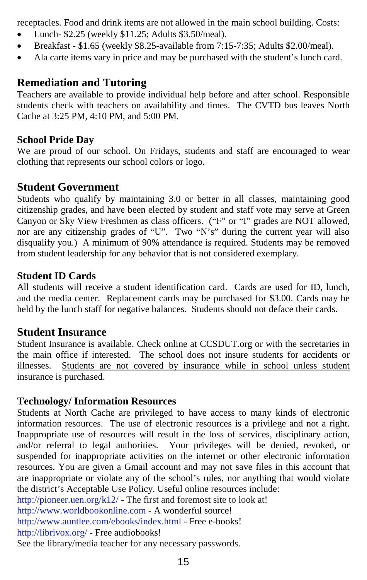receptacles. Food and drink items are not allowed in the main school building. Costs:

- Lunch- \$2.25 (weekly \$11.25; Adults \$3.50/meal).
- Breakfast \$1.65 (weekly \$8.25-available from 7:15-7:35; Adults \$2.00/meal).
- Ala carte items vary in price and may be purchased with the student's lunch card.

# **Remediation and Tutoring**

Teachers are available to provide individual help before and after school. Responsible students check with teachers on availability and times. The CVTD bus leaves North Cache at 3:25 PM, 4:10 PM, and 5:00 PM.

#### **School Pride Day**

We are proud of our school. On Fridays, students and staff are encouraged to wear clothing that represents our school colors or logo.

#### **Student Government**

Students who qualify by maintaining 3.0 or better in all classes, maintaining good citizenship grades, and have been elected by student and staff vote may serve at Green Canyon or Sky View Freshmen as class officers. ("F" or "I" grades are NOT allowed, nor are any citizenship grades of "U". Two "N's" during the current year will also disqualify you.) A minimum of 90% attendance is required. Students may be removed from student leadership for any behavior that is not considered exemplary.

#### **Student ID Cards**

All students will receive a student identification card. Cards are used for ID, lunch, and the media center. Replacement cards may be purchased for \$3.00. Cards may be held by the lunch staff for negative balances. Students should not deface their cards.

#### **Student Insurance**

Student Insurance is available. Check online at CCSDUT.org or with the secretaries in the main office if interested. The school does not insure students for accidents or illnesses. Students are not covered by insurance while in school unless student insurance is purchased.

#### **Technology/ Information Resources**

Students at North Cache are privileged to have access to many kinds of electronic information resources. The use of electronic resources is a privilege and not a right. Inappropriate use of resources will result in the loss of services, disciplinary action, and/or referral to legal authorities. Your privileges will be denied, revoked, or suspended for inappropriate activities on the internet or other electronic information resources. You are given a Gmail account and may not save files in this account that are inappropriate or violate any of the school's rules, nor anything that would violate the district's Acceptable Use Policy. Useful online resources include:

<http://pioneer.uen.org/k12/> - The first and foremost site to look at!

[http://www.worldbookonline.com](http://www.worldbookonline.com/) - A wonderful source!

<http://www.auntlee.com/ebooks/index.html> - Free e-books!

<http://librivox.org/> - Free audiobooks!

See the library/media teacher for any necessary passwords.